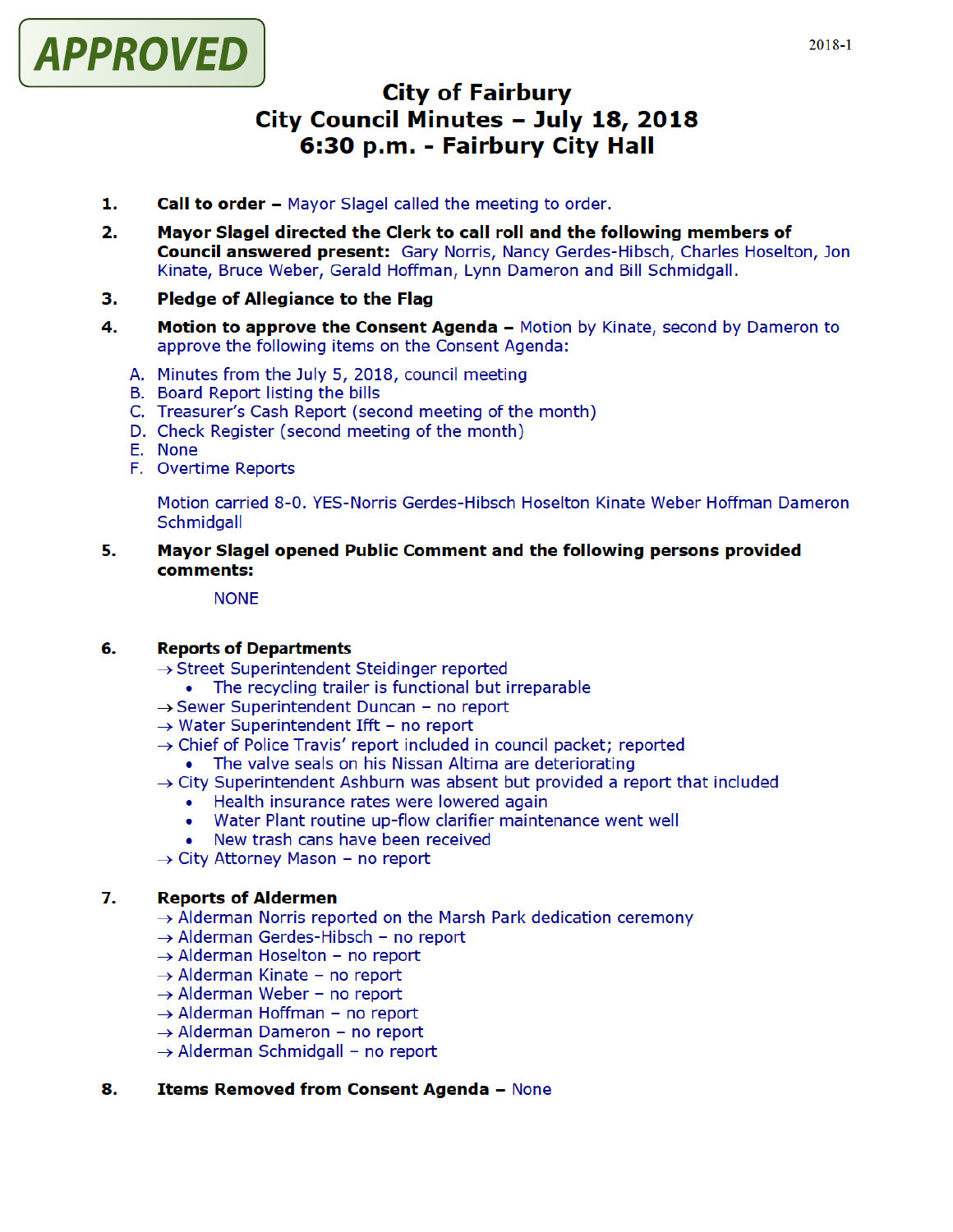

# City of Fairbury City Council Minutes - July 18, 2018 6:30 p.m. - Fairbury City Hall

- 1. Call to order Mayor Slagel called the meeting to order.
- 2. Mayor Slagel directed the Clerk to call roll and the following members of **Council answered present:** Gary Norris, Nancy Gerdes-Hibsch, Charles Hoselton, Jon Kinate, Bruce Weber, Gerald Hoffman, Lynn Dameron and Bill Schmidgall.

## 3. Pledge of Allegiance to the Flag

- 4. Motion to approve the Consent Agenda Motion by Kinate, second by Dameron to approve the following items on the Consent Agenda:
	- A. Minutes from the July 5, 2018, council meeting
	- B. Board Report listing the bills
	- C. Treasurer's Cash Report (second meeting of the month)
	- D. Check Register (second meeting of the month)
	- E. None
	- F. Overtime Reports

Motion carried 8-0, YES-Norris Gerdes-Hibsch Hoselton Kinate Weber Hoffman Dameron **Schmidgall** 

5. Mayor Slagel opened Public Comment and the following persons provided comments:

#### **NONE**

#### 6. Reports of Departments

- $\rightarrow$  Street Superintendent Steidinger reported
	- The recycling trailer is functional but irreparable
- $\rightarrow$  Sewer Superintendent Duncan no report
- $\rightarrow$  Water Superintendent Ifft no report
- $\rightarrow$  Chief of Police Travis' report included in council packet; reported
	- The valve seals on his Nissan Altima are deteriorating  $\bullet$
- $\rightarrow$  City Superintendent Ashburn was absent but provided a report that included
	- Health insurance rates were lowered again
	- Water Plant routine up flow clarifier maintenance went well
	- New trash cans have been received
- $\rightarrow$  City Attorney Mason no report

#### 7. Reports of Aldermen

- $\rightarrow$  Alderman Norris reported on the Marsh Park dedication ceremony
- $\rightarrow$  Alderman Gerdes-Hibsch no report
- $\rightarrow$  Alderman Hoselton no report
- $\rightarrow$  Alderman Kinate no report
- $\rightarrow$  Alderman Weber no report
- $\rightarrow$  Alderman Hoffman no report
- $\rightarrow$  Alderman Dameron no report
- $\rightarrow$  Alderman Schmidgall no report

#### 8. Items Removed from Consent Agenda - None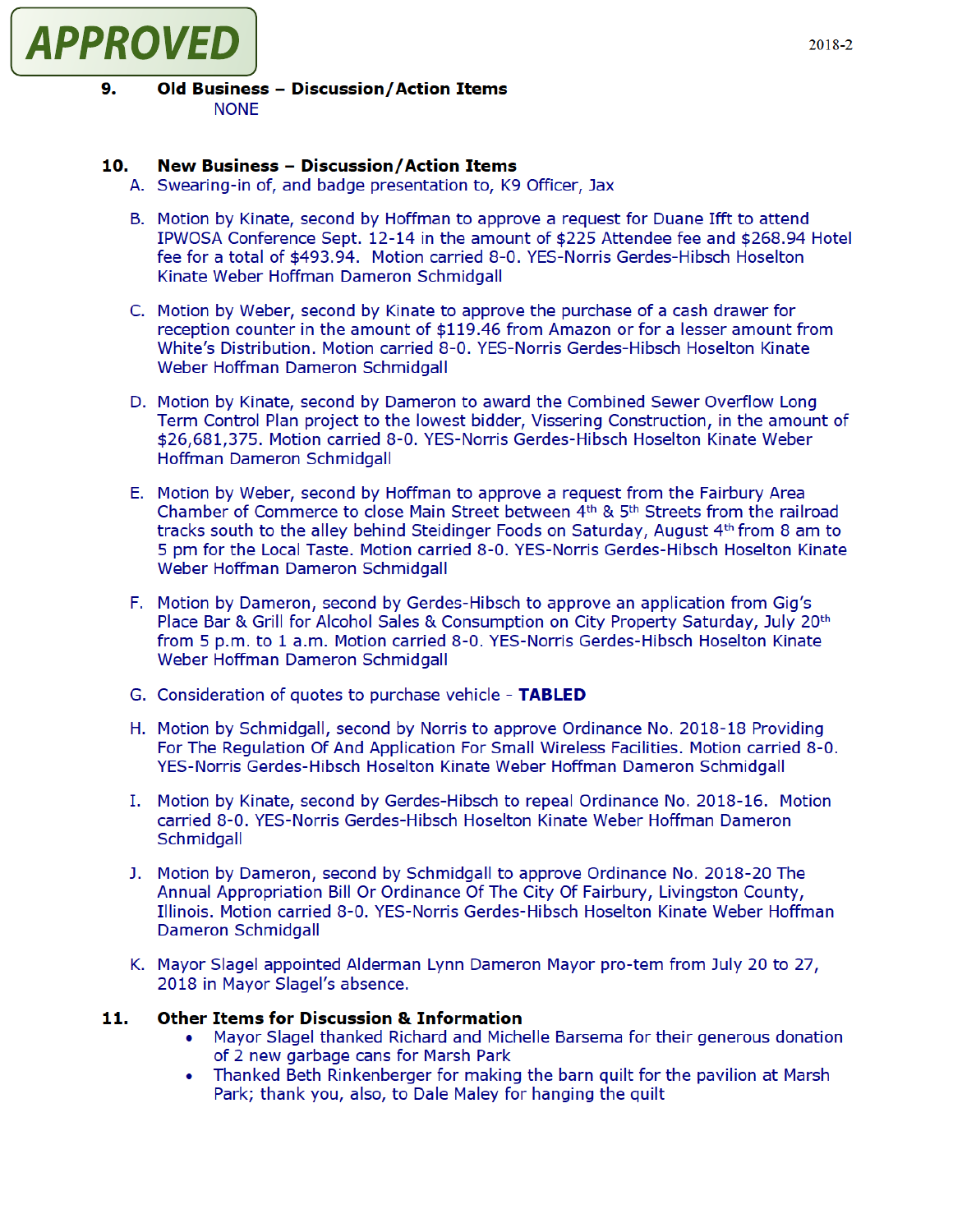

## 9. Old Business - Discussion/Action Items NONE

# 10. New Business - Discussion/Action Items

- A. Swearing-in of, and badge presentation to, K9 Officer, Jax
- B. Motion by Kinate, second by Hoffman to approve a request for Duane Ifft to attend IPWOSA Conference Sept. 12-14 in the amount of \$225 Attendee fee and \$268.94 Hotel fee for a total of \$493.94. Motion carried 8-0. YES-Norris Gerdes-Hibsch Hoselton Kinate Weber Hoffman Dameron Schmidgall
- C. Motion by Weber, second by Kinate to approve the purchase of a cash drawer for reception counter in the amount of \$119.46 from Amazon or for a lesser amount from White's Distribution. Motion carried 8-0. YES-Norris Gerdes-Hibsch Hoselton Kinate Weber Hoffman Dameron Schmidgall
- D. Motion by Kinate, second by Dameron to award the Combined Sewer Overflow Long Term Control Plan project to the lowest bidder, Vissering Construction, in the amount of \$26,681,375. Motion carried 8-0. YES-Norris Gerdes-Hibsch Hoselton Kinate Weber Hoffman Dameron Schmidgall
- E. Motion by Weber, second by Hoffman to approve a request from the Fairbury Area Chamber of Commerce to close Main Street between  $4<sup>th</sup>$  &  $5<sup>th</sup>$  Streets from the railroad tracks south to the alley behind Steidinger Foods on Saturday, August  $4<sup>th</sup>$  from 8 am to 5 pm for the Local Taste. Motion carried 8-0. YES-Norris Gerdes-Hibsch Hoselton Kinate Weber Hoffman Dameron Schmidgall
- F. Motion by Dameron, second by Gerdes-Hibsch to approve an application from Gig's Place Bar & Grill for Alcohol Sales & Consumption on City Property Saturday, July 20th from 5 p.m. to 1 a.m. Motion carried 8-0. YES-Norris Gerdes-Hibsch Hoselton Kinate Weber Hoffman Dameron Schmidgall
- G. Consideration of quotes to purchase vehicle TABLED
- H. Motion by Schmidgall, second by Norris to approve Ordinance No. 2018-18 Providing For The Regulation Of And Application For Small Wireless Facilities. Motion carried 8-0. YES-Norris Gerdes-Hibsch Hoselton Kinate Weber Hoffman Dameron Schmidgall
- I. Motion by Kinate, second by Gerdes-Hibsch to repeal Ordinance No. 2018-16. Motion carried 8-0. YES-Norris Gerdes-Hibsch Hoselton Kinate Weber Hoffman Dameron **Schmidgall**
- J. Motion by Dameron, second by Schmidgall to approve Ordinance No. 2018 20 The Annual Appropriation Bill Or Ordinance Of The City Of Fairbury, Livingston County, Illinois, Motion carried 8-0. YES-Norris Gerdes-Hibsch Hoselton Kinate Weber Hoffman Dameron Schmidgall
- K. Mayor Slagel appointed Alderman Lynn Dameron Mayor pro tem from July 20 to 27, 2018 in Mayor Slagel's absence.

# 11. Other Items for Discussion & Information

- Mayor Slagel thanked Richard and Michelle Barsema for their generous donation of 2 new garbage cans for Marsh Park
- Thanked Beth Rinkenberger formaking the barn quilt for the pavilion at Marsh  $\bullet$ Park; thank you, also, to Dale Maley for hanging the quilt